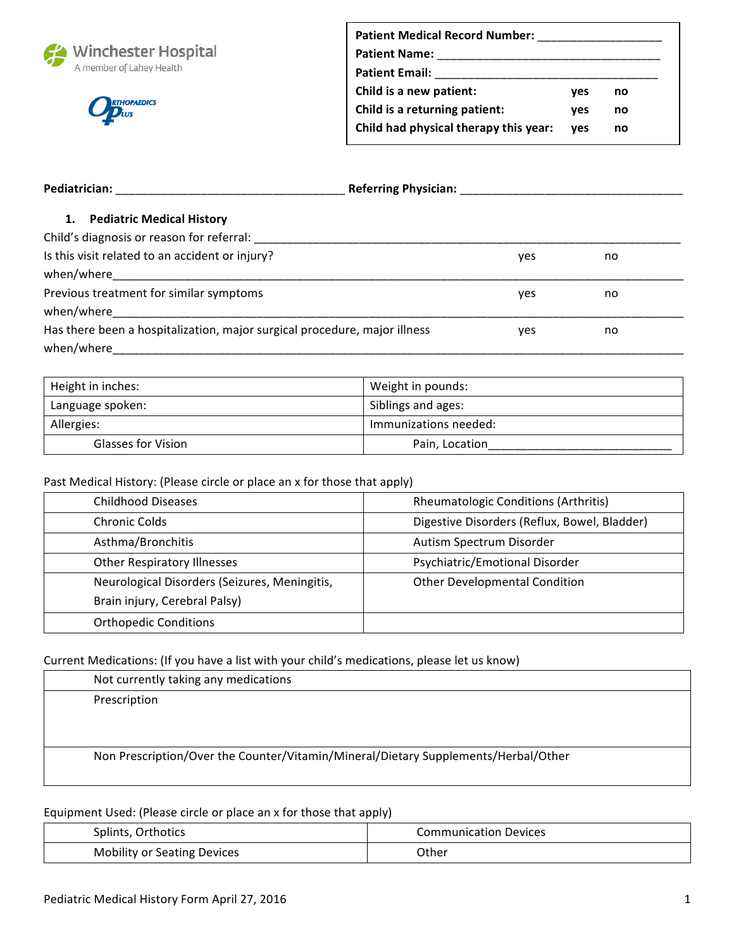



| <b>Patient Medical Record Number:</b> |     |    |
|---------------------------------------|-----|----|
| <b>Patient Name:</b>                  |     |    |
| <b>Patient Email:</b>                 |     |    |
| Child is a new patient:               | ves | no |
| Child is a returning patient:         | ves | no |
| Child had physical therapy this year: | ves | no |
|                                       |     |    |

| Pediatrician:                                                             | <b>Referring Physician:</b> |    |
|---------------------------------------------------------------------------|-----------------------------|----|
| 1.<br><b>Pediatric Medical History</b>                                    |                             |    |
| Child's diagnosis or reason for referral:                                 |                             |    |
| Is this visit related to an accident or injury?                           | yes                         | no |
|                                                                           |                             |    |
| Previous treatment for similar symptoms                                   | yes                         | no |
| when/where                                                                |                             |    |
| Has there been a hospitalization, major surgical procedure, major illness | yes                         | no |
| when/where                                                                |                             |    |

| Height in inches:         | Weight in pounds:     |
|---------------------------|-----------------------|
| Language spoken:          | Siblings and ages:    |
| Allergies:                | Immunizations needed: |
| <b>Glasses for Vision</b> | Pain, Location        |

# Past Medical History: (Please circle or place an x for those that apply)

| <b>Childhood Diseases</b>                     | <b>Rheumatologic Conditions (Arthritis)</b>  |
|-----------------------------------------------|----------------------------------------------|
| <b>Chronic Colds</b>                          | Digestive Disorders (Reflux, Bowel, Bladder) |
| Asthma/Bronchitis                             | Autism Spectrum Disorder                     |
| <b>Other Respiratory Illnesses</b>            | Psychiatric/Emotional Disorder               |
| Neurological Disorders (Seizures, Meningitis, | <b>Other Developmental Condition</b>         |
| Brain injury, Cerebral Palsy)                 |                                              |
| <b>Orthopedic Conditions</b>                  |                                              |

## Current Medications: (If you have a list with your child's medications, please let us know)

| Not currently taking any medications                                               |
|------------------------------------------------------------------------------------|
| Prescription                                                                       |
|                                                                                    |
|                                                                                    |
| Non Prescription/Over the Counter/Vitamin/Mineral/Dietary Supplements/Herbal/Other |
|                                                                                    |

# Equipment Used: (Please circle or place an x for those that apply)

| Splints, Orthotics                 | <b>Communication Devices</b> |
|------------------------------------|------------------------------|
| <b>Mobility or Seating Devices</b> | Other                        |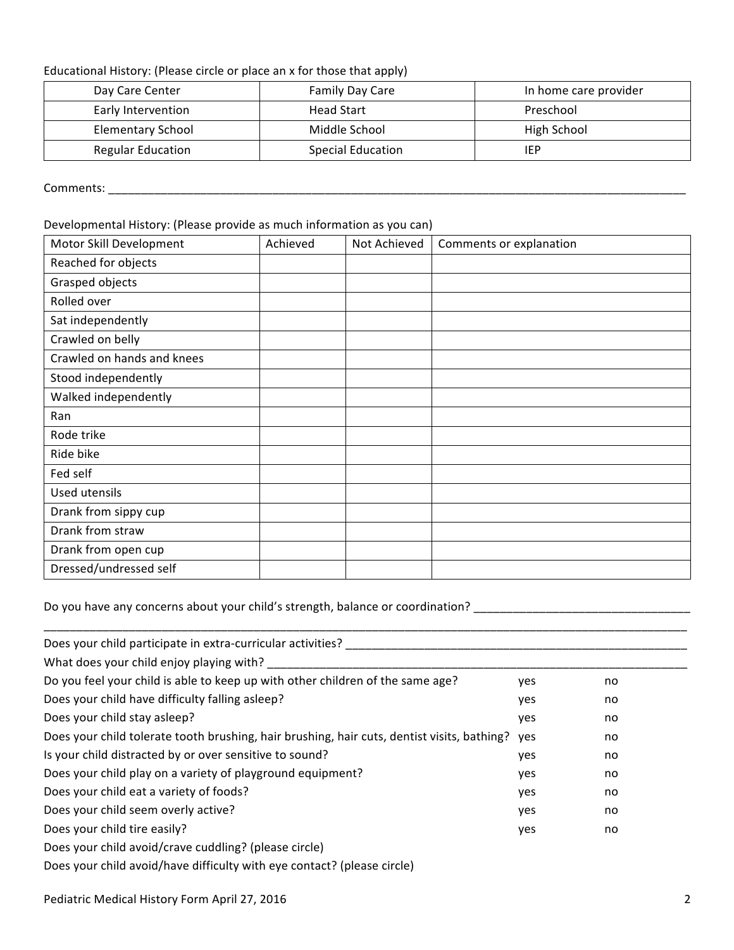#### Educational History: (Please circle or place an x for those that apply)

| Day Care Center          | Family Day Care          | In home care provider |
|--------------------------|--------------------------|-----------------------|
| Early Intervention       | <b>Head Start</b>        | Preschool             |
| <b>Elementary School</b> | Middle School            | High School           |
| <b>Regular Education</b> | <b>Special Education</b> | IEP                   |

Comments: \_\_\_\_\_\_\_\_\_\_\_\_\_\_\_\_\_\_\_\_\_\_\_\_\_\_\_\_\_\_\_\_\_\_\_\_\_\_\_\_\_\_\_\_\_\_\_\_\_\_\_\_\_\_\_\_\_\_\_\_\_\_\_\_\_\_\_\_\_\_\_\_\_\_\_\_\_\_\_\_\_\_\_\_\_\_\_\_

#### Developmental History: (Please provide as much information as you can)

| Motor Skill Development    | Achieved | Not Achieved | Comments or explanation |
|----------------------------|----------|--------------|-------------------------|
| Reached for objects        |          |              |                         |
| Grasped objects            |          |              |                         |
| Rolled over                |          |              |                         |
| Sat independently          |          |              |                         |
| Crawled on belly           |          |              |                         |
| Crawled on hands and knees |          |              |                         |
| Stood independently        |          |              |                         |
| Walked independently       |          |              |                         |
| Ran                        |          |              |                         |
| Rode trike                 |          |              |                         |
| Ride bike                  |          |              |                         |
| Fed self                   |          |              |                         |
| Used utensils              |          |              |                         |
| Drank from sippy cup       |          |              |                         |
| Drank from straw           |          |              |                         |
| Drank from open cup        |          |              |                         |
| Dressed/undressed self     |          |              |                         |

Do you have any concerns about your child's strength, balance or coordination? \_\_\_\_\_\_\_\_\_\_\_\_\_\_\_\_\_\_\_\_\_\_\_\_\_\_\_\_\_\_\_

| Does your child participate in extra-curricular activities?                                 |     |    |
|---------------------------------------------------------------------------------------------|-----|----|
| What does your child enjoy playing with?                                                    |     |    |
| Do you feel your child is able to keep up with other children of the same age?              | yes | no |
| Does your child have difficulty falling asleep?                                             | yes | no |
| Does your child stay asleep?                                                                | yes | no |
| Does your child tolerate tooth brushing, hair brushing, hair cuts, dentist visits, bathing? | ves | no |
| Is your child distracted by or over sensitive to sound?                                     | yes | no |
| Does your child play on a variety of playground equipment?                                  | yes | no |
| Does your child eat a variety of foods?                                                     | yes | no |
| Does your child seem overly active?                                                         | yes | no |
| Does your child tire easily?                                                                | yes | no |
| Does your child avoid/crave cuddling? (please circle)                                       |     |    |
| Does your child avoid/have difficulty with eye contact? (please circle)                     |     |    |

\_\_\_\_\_\_\_\_\_\_\_\_\_\_\_\_\_\_\_\_\_\_\_\_\_\_\_\_\_\_\_\_\_\_\_\_\_\_\_\_\_\_\_\_\_\_\_\_\_\_\_\_\_\_\_\_\_\_\_\_\_\_\_\_\_\_\_\_\_\_\_\_\_\_\_\_\_\_\_\_\_\_\_\_\_\_\_\_\_\_\_\_\_\_\_\_\_\_